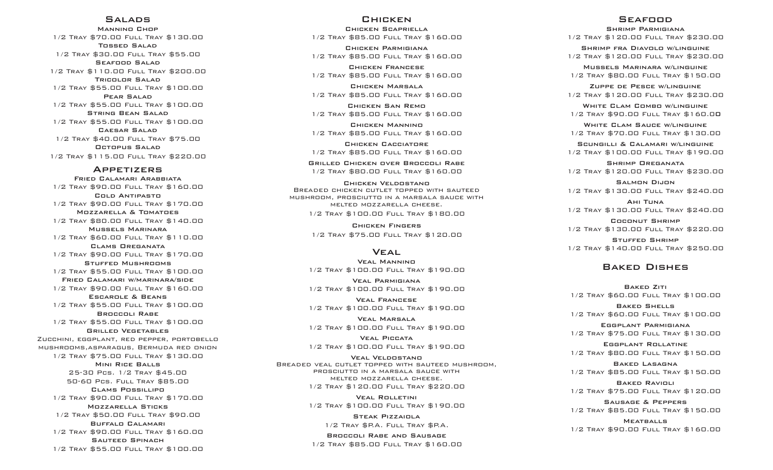### Salads

Mannino Chop 1/2 Tray \$70.00 Full Tray \$130.00 Tossed Salad 1/2 Tray \$30.00 Full Tray \$55.00Seafood Salad 1/2 Tray \$110.00 Full Tray \$200.00Tricolor Salad 1/2 Tray \$55.00 Full Tray \$100.00 Pear Salad 1/2 Tray \$55.00 Full Tray \$100.00String Bean Salad 1/2 Tray \$55.00 Full Tray \$100.00Caesar Salad 1/2 Tray \$40.00 Full Tray \$75.00 Octopus Salad 1/2 Tray \$115.00 Full Tray \$220.00

#### Appetizers

Fried Calamari Arabbiata 1/2 Tray \$90.00 Full Tray \$160.00 Cold Antipasto 1/2 Tray \$90.00 Full Tray \$170.00Mozzarella & Tomatoes 1/2 Tray \$80.00 Full Tray \$140.00Mussels Marinara 1/2 Tray \$60.00 Full Tray \$110.00 Clams Oreganata 1/2 Tray \$90.00 Full Tray \$170.00Stuffed Mushrooms 1/2 Tray \$55.00 Full Tray \$100.00Fried Calamari w/marinara/side 1/2 Tray \$90.00 Full Tray \$160.00 Escarole & Beans 1/2 Tray \$55.00 Full Tray \$100.00Broccoli Rabe 1/2 Tray \$55.00 Full Tray \$100.00Grilled Vegetables Zucchini, eggplant, red pepper, portobello mushrooms,asparagus, Bermuda red onion 1/2 Tray \$75.00 Full Tray \$130.00Mini Rice Balls 25-30 Pcs. 1/2 Tray \$45.00 50-60 Pcs. Full Tray \$85.00 Clams Possillipo 1/2 Tray \$90.00 Full Tray \$170.00Mozzarella Sticks 1/2 Tray \$50.00 Full Tray \$90.00 Buffalo Calamari 1/2 Tray \$90.00 Full Tray \$160.00Sauteed Spinach 1/2 Tray \$55.00 Full Tray \$100.00

### **CHICKEN**

Chicken Scapriella 1/2 Tray \$85.00 Full Tray \$160.00 Chicken Parmigiana 1/2 Tray \$85.00 Full Tray \$160.00

Chicken Francese 1/2 Tray \$85.00 Full Tray \$160.00

Chicken Marsala 1/2 Tray \$85.00 Full Tray \$160.00

Chicken San Remo 1/2 Tray \$85.00 Full Tray \$160.00

Chicken Mannino 1/2 Tray \$85.00 Full Tray \$160.00

Chicken Cacciatore 1/2 Tray \$85.00 Full Tray \$160.00

Grilled Chicken over Broccoli Rabe 1/2 Tray \$80.00 Full Tray \$160.00

Chicken Veldostano Breaded chicken cutlet topped with sauteed mushroom, prosciutto in a marsala sauce with melted mozzarella cheese.1/2 Tray \$100.00 Full Tray \$180.00

> Chicken Fingers 1/2 Tray \$75.00 Full Tray \$120.00

#### **VEAL**

Veal Mannino 1/2 Tray \$100.00 Full Tray \$190.00

Veal Parmigiana 1/2 Tray \$100.00 Full Tray \$190.00

Veal Francese 1/2 Tray \$100.00 Full Tray \$190.00

Veal Marsala 1/2 Tray \$100.00 Full Tray \$190.00

Veal Piccata 1/2 Tray \$100.00 Full Tray \$190.00

Veal Veldostano BREADED VEAL CUTLET TOPPED WITH SAUTEED MUSHROOM,<br>PROSCIUTTO IN A MARSALA SAUCE WITH MELTED MOZZARELLA CHEESE. 1/2 Tray \$120.00 Full Tray \$220.00

> Veal Rolletini 1/2 Tray \$100.00 Full Tray \$190.00

> > Steak Pizzaiola 1/2 Tray \$P.A. Full Tray \$P.A.

Broccoli Rabe and Sausage 1/2 Tray \$85.00 Full Tray \$160.00

### **SEAFOOD**

Shrimp Parmigiana

1/2 Tray \$120.00 Full Tray \$230.00 Shrimp fra Diavolo w/linguine

1/2 Tray \$120.00 Full Tray \$230.00Mussels Marinara w/linguine

1/2 Tray \$80.00 Full Tray \$150.00

Zuppe de Pesce w/linguine 1/2 Tray \$120.00 Full Tray \$230.00

WHITE CLAM COMBO W/LINGUINE 1/2 Tray \$90.00 Full Tray \$160.00

WHITE CLAM SAUCE W/LINGUINE 1/2 Tray \$70.00 Full Tray \$130.00

Scungilli & Calamari w/linguine 1/2 Tray \$100.00 Full Tray \$190.00

Shrimp Oreganata 1/2 Tray \$120.00 Full Tray \$230.00

Salmon Dijon 1/2 Tray \$130.00 Full Tray \$240.00

Ahi Tuna 1/2 Tray \$130.00 Full Tray \$240.00

Coconut Shrimp 1/2 Tray \$130.00 Full Tray \$220.00

Stuffed Shrimp 1/2 Tray \$140.00 Full Tray \$250.00

## Baked Dishes

Baked Ziti 1/2 Tray \$60.00 Full Tray \$100.00 Baked Shells 1/2 Tray \$60.00 Full Tray \$100.00

Eggplant Parmigiana 1/2 Tray \$75.00 Full Tray \$130.00

Eggplant Rollatine 1/2 Tray \$80.00 Full Tray \$150.00

Baked Lasagna 1/2 Tray \$85.00 Full Tray \$150.00

Baked Ravioli 1/2 Tray \$75.00 Full Tray \$120.00

Sausage & Peppers 1/2 Tray \$85.00 Full Tray \$150.00

**MEATBALLS** 1/2 Tray \$90.00 Full Tray \$160.00